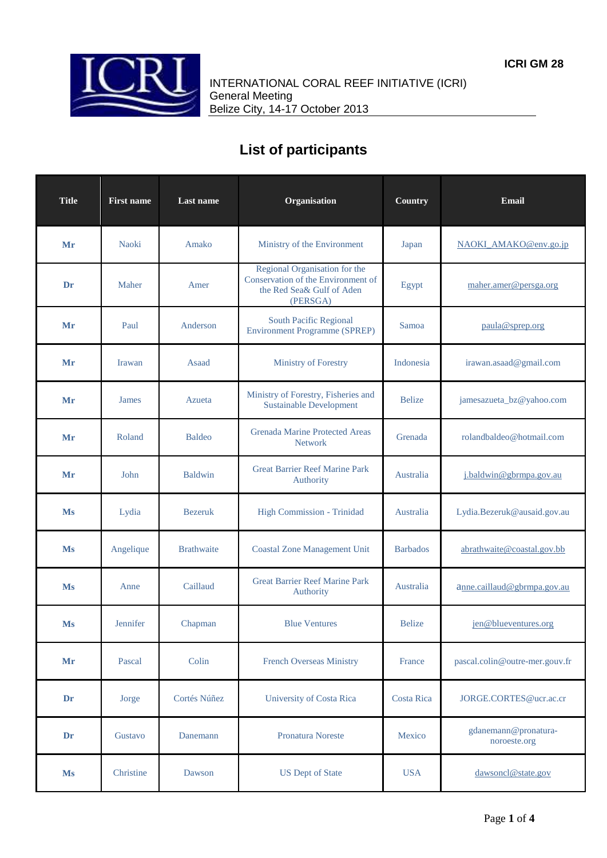

INTERNATIONAL CORAL REEF INITIATIVE (ICRI) General Meeting Belize City, 14-17 October 2013

## **List of participants**

| <b>Title</b> | <b>First name</b> | Last name         | Organisation                                                                                                 | Country           | Email                                |
|--------------|-------------------|-------------------|--------------------------------------------------------------------------------------------------------------|-------------------|--------------------------------------|
| Mr           | <b>Naoki</b>      | Amako             | Ministry of the Environment                                                                                  | Japan             | NAOKI AMAKO@env.go.jp                |
| Dr           | Maher             | Amer              | Regional Organisation for the<br>Conservation of the Environment of<br>the Red Sea& Gulf of Aden<br>(PERSGA) | Egypt             | maher.amer@persga.org                |
| Mr           | Paul              | Anderson          | <b>South Pacific Regional</b><br><b>Environment Programme (SPREP)</b>                                        | Samoa             | paula@sprep.org                      |
| Mr           | <b>Irawan</b>     | Asaad             | Ministry of Forestry                                                                                         | Indonesia         | irawan.asaad@gmail.com               |
| Mr           | <b>James</b>      | Azueta            | Ministry of Forestry, Fisheries and<br><b>Sustainable Development</b>                                        | <b>Belize</b>     | jamesazueta_bz@yahoo.com             |
| Mr           | Roland            | <b>Baldeo</b>     | <b>Grenada Marine Protected Areas</b><br><b>Network</b>                                                      | Grenada           | rolandbaldeo@hotmail.com             |
| Mr           | John              | <b>Baldwin</b>    | <b>Great Barrier Reef Marine Park</b><br>Authority                                                           | Australia         | j.baldwin@gbrmpa.gov.au              |
| Ms           | Lydia             | <b>Bezeruk</b>    | High Commission - Trinidad                                                                                   | Australia         | Lydia.Bezeruk@ausaid.gov.au          |
| Ms           | Angelique         | <b>Brathwaite</b> | <b>Coastal Zone Management Unit</b>                                                                          | <b>Barbados</b>   | abrathwaite@coastal.gov.bb           |
| Ms           | Anne              | Caillaud          | <b>Great Barrier Reef Marine Park</b><br><b>Authority</b>                                                    | Australia         | anne.caillaud@gbrmpa.gov.au          |
| Ms           | Jennifer          | Chapman           | <b>Blue Ventures</b>                                                                                         | <b>Belize</b>     | jen@blueventures.org                 |
| Mr           | Pascal            | Colin             | <b>French Overseas Ministry</b>                                                                              | France            | pascal.colin@outre-mer.gouv.fr       |
| Dr           | Jorge             | Cortés Núñez      | <b>University of Costa Rica</b>                                                                              | <b>Costa Rica</b> | JORGE.CORTES@ucr.ac.cr               |
| Dr           | Gustavo           | Danemann          | <b>Pronatura Noreste</b>                                                                                     | Mexico            | gdanemann@pronatura-<br>noroeste.org |
| <b>Ms</b>    | Christine         | Dawson            | <b>US</b> Dept of State                                                                                      | <b>USA</b>        | dawsoncl@state.gov                   |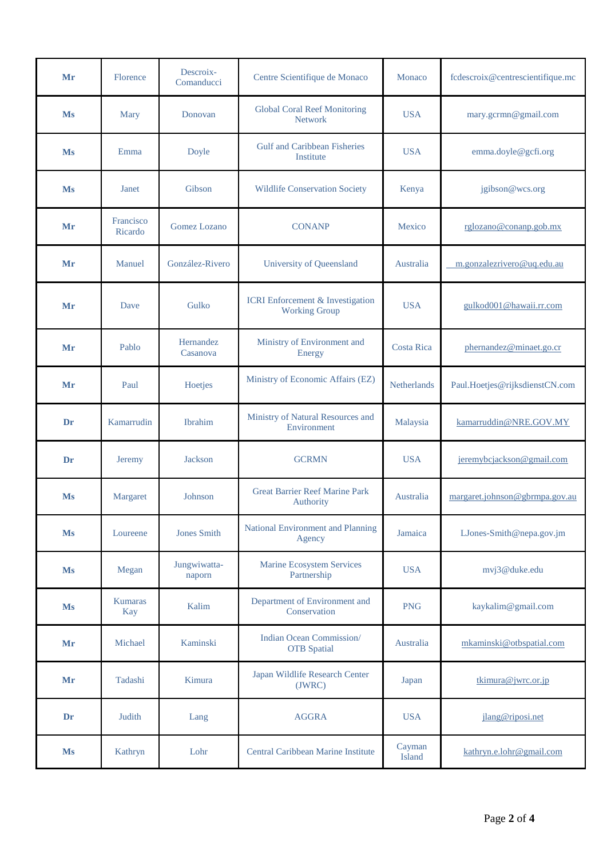| Mr        | Florence                     | Descroix-<br>Comanducci | Centre Scientifique de Monaco                                   | Monaco            | fcdescroix@centrescientifique.mc |
|-----------|------------------------------|-------------------------|-----------------------------------------------------------------|-------------------|----------------------------------|
| <b>Ms</b> | <b>Mary</b>                  | Donovan                 | <b>Global Coral Reef Monitoring</b><br><b>Network</b>           | <b>USA</b>        | mary.gcrmn@gmail.com             |
| Ms        | Emma                         | Doyle                   | <b>Gulf and Caribbean Fisheries</b><br>Institute                | <b>USA</b>        | emma.doyle@gcfi.org              |
| Ms        | Janet                        | Gibson                  | <b>Wildlife Conservation Society</b>                            | Kenya             | jgibson@wcs.org                  |
| Mr        | Francisco<br>Ricardo         | <b>Gomez Lozano</b>     | <b>CONANP</b>                                                   | Mexico            | rglozano@conanp.gob.mx           |
| Mr        | Manuel                       | González-Rivero         | University of Queensland                                        | Australia         | m.gonzalezrivero@uq.edu.au       |
| Mr        | Dave                         | Gulko                   | <b>ICRI</b> Enforcement & Investigation<br><b>Working Group</b> | <b>USA</b>        | gulkod001@hawaii.rr.com          |
| Mr        | Pablo                        | Hernandez<br>Casanova   | Ministry of Environment and<br>Energy                           | <b>Costa Rica</b> | phernandez@minaet.go.cr          |
| Mr        | Paul                         | Hoetjes                 | Ministry of Economic Affairs (EZ)                               | Netherlands       | Paul.Hoetjes@rijksdienstCN.com   |
| Dr        | Kamarrudin                   | <b>Ibrahim</b>          | Ministry of Natural Resources and<br>Environment                | Malaysia          | kamarruddin@NRE.GOV.MY           |
| Dr        | Jeremy                       | <b>Jackson</b>          | <b>GCRMN</b>                                                    | <b>USA</b>        | jeremybcjackson@gmail.com        |
| <b>Ms</b> | Margaret                     | Johnson                 | <b>Great Barrier Reef Marine Park</b><br>Authority              | Australia         | margaret.johnson@gbrmpa.gov.au   |
| <b>Ms</b> | Loureene                     | <b>Jones Smith</b>      | National Environment and Planning<br>Agency                     | Jamaica           | LJones-Smith@nepa.gov.jm         |
| <b>Ms</b> | Megan                        | Jungwiwatta-<br>naporn  | <b>Marine Ecosystem Services</b><br>Partnership                 | <b>USA</b>        | mvj3@duke.edu                    |
| <b>Ms</b> | <b>Kumaras</b><br><b>Kay</b> | Kalim                   | Department of Environment and<br>Conservation                   | <b>PNG</b>        | kaykalim@gmail.com               |
| Mr        | Michael                      | Kaminski                | Indian Ocean Commission/<br><b>OTB</b> Spatial                  | Australia         | mkaminski@otbspatial.com         |
| Mr        | Tadashi                      | Kimura                  | Japan Wildlife Research Center<br>(JWRC)                        | Japan             | tkimura@jwrc.or.jp               |
| Dr        | Judith                       | Lang                    | <b>AGGRA</b>                                                    | <b>USA</b>        | jlang@riposi.net                 |
| <b>Ms</b> | Kathryn                      | Lohr                    | Central Caribbean Marine Institute                              | Cayman<br>Island  | kathryn.e.lohr@gmail.com         |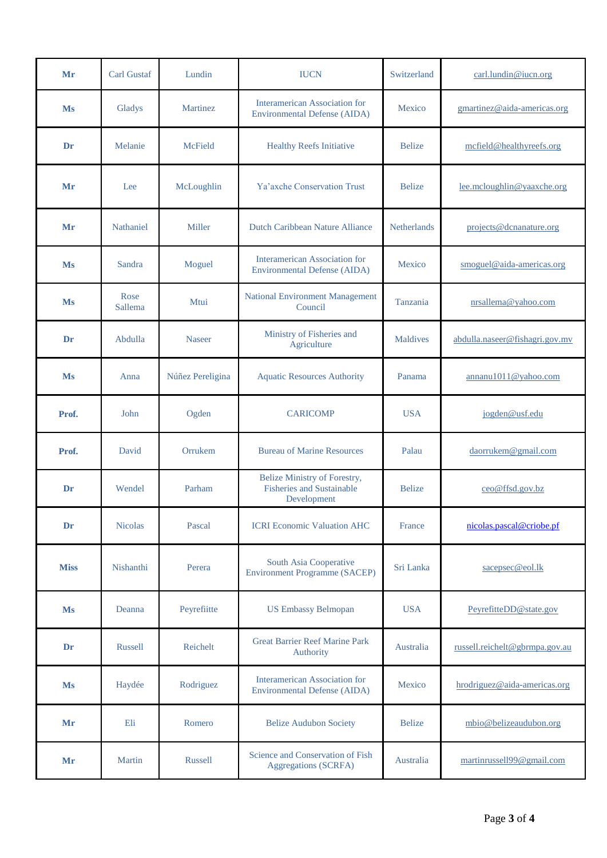| Mr          | <b>Carl Gustaf</b> | Lundin           | <b>IUCN</b>                                                                 | Switzerland   | carl.lundin@iucn.org           |
|-------------|--------------------|------------------|-----------------------------------------------------------------------------|---------------|--------------------------------|
| <b>Ms</b>   | Gladys             | Martinez         | Interamerican Association for<br><b>Environmental Defense (AIDA)</b>        | Mexico        | gmartinez@aida-americas.org    |
| Dr          | Melanie            | McField          | <b>Healthy Reefs Initiative</b>                                             | <b>Belize</b> | mcfield@healthyreefs.org       |
| Mr          | Lee                | McLoughlin       | Ya'axche Conservation Trust                                                 | <b>Belize</b> | lee.mcloughlin@yaaxche.org     |
| Mr          | Nathaniel          | Miller           | Dutch Caribbean Nature Alliance                                             | Netherlands   | projects@dcnanature.org        |
| <b>Ms</b>   | Sandra             | Moguel           | <b>Interamerican Association for</b><br><b>Environmental Defense (AIDA)</b> | Mexico        | smoguel@aida-americas.org      |
| Ms          | Rose<br>Sallema    | Mtui             | <b>National Environment Management</b><br>Council                           | Tanzania      | nrsallema@yahoo.com            |
| Dr          | Abdulla            | <b>Naseer</b>    | Ministry of Fisheries and<br>Agriculture                                    | Maldives      | abdulla.naseer@fishagri.gov.mv |
| Ms          | Anna               | Núñez Pereligina | <b>Aquatic Resources Authority</b>                                          | Panama        | annanu1011@yahoo.com           |
| Prof.       | John               | Ogden            | <b>CARICOMP</b>                                                             | <b>USA</b>    | jogden@usf.edu                 |
| Prof.       | David              | Orrukem          | <b>Bureau of Marine Resources</b>                                           | Palau         | daorrukem@gmail.com            |
| Dr          | Wendel             | Parham           | Belize Ministry of Forestry,<br>Fisheries and Sustainable<br>Development    | <b>Belize</b> | ceo@ffsd.gov.bz                |
| Dr          | <b>Nicolas</b>     | Pascal           | <b>ICRI Economic Valuation AHC</b>                                          | France        | nicolas.pascal@criobe.pf       |
| <b>Miss</b> | Nishanthi          | Perera           | South Asia Cooperative<br><b>Environment Programme (SACEP)</b>              | Sri Lanka     | sacepsec@eol.lk                |
| <b>Ms</b>   | Deanna             | Peyrefiitte      | <b>US Embassy Belmopan</b>                                                  | <b>USA</b>    | PeyrefitteDD@state.gov         |
| Dr          | Russell            | Reichelt         | <b>Great Barrier Reef Marine Park</b><br>Authority                          | Australia     | russell.reichelt@gbrmpa.gov.au |
| <b>Ms</b>   | Haydée             | Rodriguez        | <b>Interamerican Association for</b><br><b>Environmental Defense (AIDA)</b> | Mexico        | hrodriguez@aida-americas.org   |
| Mr          | Eli                | Romero           | <b>Belize Audubon Society</b>                                               | <b>Belize</b> | mbio@belizeaudubon.org         |
| Mr          | Martin             | Russell          | Science and Conservation of Fish<br><b>Aggregations (SCRFA)</b>             | Australia     | martinrussell99@gmail.com      |